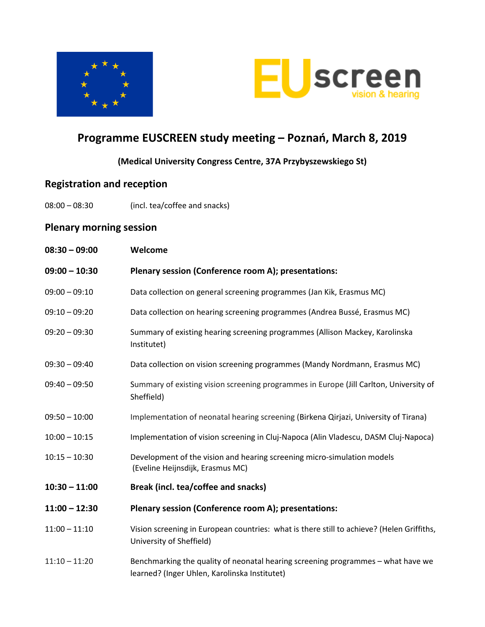



# **Programme EUSCREEN study meeting – Poznań, March 8, 2019**

### **(Medical University Congress Centre, 37A Przybyszewskiego St)**

### **Registration and reception**

08:00 – 08:30 (incl. tea/coffee and snacks)

### **Plenary morning session**

| $08:30 - 09:00$ | Welcome                                                                                                                           |
|-----------------|-----------------------------------------------------------------------------------------------------------------------------------|
| $09:00 - 10:30$ | Plenary session (Conference room A); presentations:                                                                               |
| $09:00 - 09:10$ | Data collection on general screening programmes (Jan Kik, Erasmus MC)                                                             |
| $09:10 - 09:20$ | Data collection on hearing screening programmes (Andrea Bussé, Erasmus MC)                                                        |
| $09:20 - 09:30$ | Summary of existing hearing screening programmes (Allison Mackey, Karolinska<br>Institutet)                                       |
| $09:30 - 09:40$ | Data collection on vision screening programmes (Mandy Nordmann, Erasmus MC)                                                       |
| $09:40 - 09:50$ | Summary of existing vision screening programmes in Europe (Jill Carlton, University of<br>Sheffield)                              |
| $09:50 - 10:00$ | Implementation of neonatal hearing screening (Birkena Qirjazi, University of Tirana)                                              |
| $10:00 - 10:15$ | Implementation of vision screening in Cluj-Napoca (Alin Vladescu, DASM Cluj-Napoca)                                               |
| $10:15 - 10:30$ | Development of the vision and hearing screening micro-simulation models<br>(Eveline Heijnsdijk, Erasmus MC)                       |
| $10:30 - 11:00$ | Break (incl. tea/coffee and snacks)                                                                                               |
| $11:00 - 12:30$ | Plenary session (Conference room A); presentations:                                                                               |
| $11:00 - 11:10$ | Vision screening in European countries: what is there still to achieve? (Helen Griffiths,<br>University of Sheffield)             |
| $11:10 - 11:20$ | Benchmarking the quality of neonatal hearing screening programmes - what have we<br>learned? (Inger Uhlen, Karolinska Institutet) |